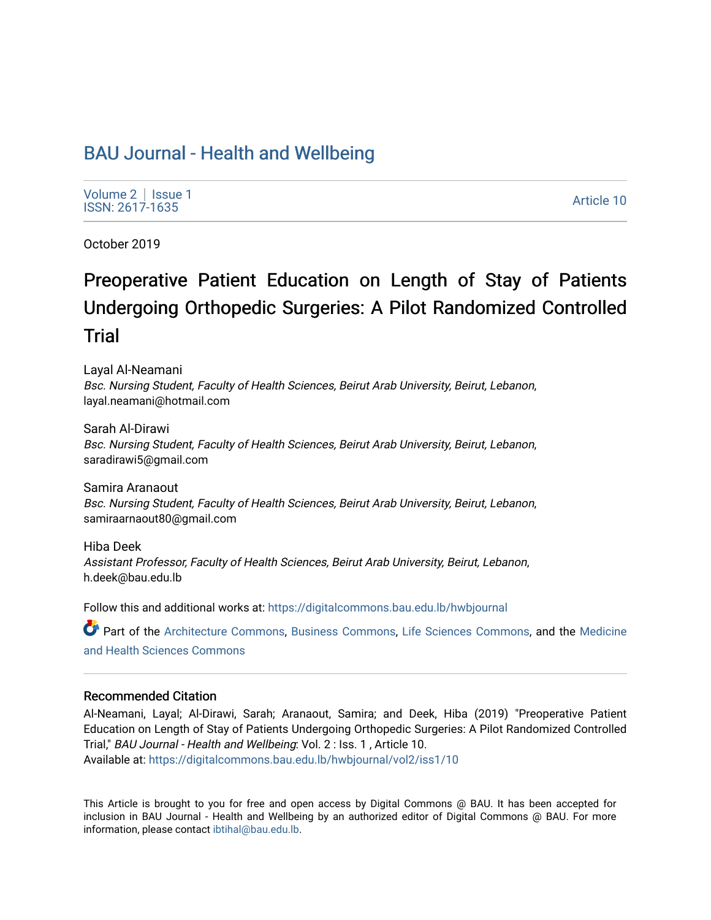# [BAU Journal - Health and Wellbeing](https://digitalcommons.bau.edu.lb/hwbjournal)

[Volume 2](https://digitalcommons.bau.edu.lb/hwbjournal/vol2) | Issue 1 Produce 2 | ISSNE |<br>ISSN: 2617-1635 Article 10

October 2019

# Preoperative Patient Education on Length of Stay of Patients Undergoing Orthopedic Surgeries: A Pilot Randomized Controlled Trial

Layal Al-Neamani Bsc. Nursing Student, Faculty of Health Sciences, Beirut Arab University, Beirut, Lebanon, layal.neamani@hotmail.com

Sarah Al-Dirawi Bsc. Nursing Student, Faculty of Health Sciences, Beirut Arab University, Beirut, Lebanon, saradirawi5@gmail.com

Samira Aranaout Bsc. Nursing Student, Faculty of Health Sciences, Beirut Arab University, Beirut, Lebanon, samiraarnaout80@gmail.com

Hiba Deek Assistant Professor, Faculty of Health Sciences, Beirut Arab University, Beirut, Lebanon, h.deek@bau.edu.lb

Follow this and additional works at: [https://digitalcommons.bau.edu.lb/hwbjournal](https://digitalcommons.bau.edu.lb/hwbjournal?utm_source=digitalcommons.bau.edu.lb%2Fhwbjournal%2Fvol2%2Fiss1%2F10&utm_medium=PDF&utm_campaign=PDFCoverPages)

Part of the [Architecture Commons](http://network.bepress.com/hgg/discipline/773?utm_source=digitalcommons.bau.edu.lb%2Fhwbjournal%2Fvol2%2Fiss1%2F10&utm_medium=PDF&utm_campaign=PDFCoverPages), [Business Commons,](http://network.bepress.com/hgg/discipline/622?utm_source=digitalcommons.bau.edu.lb%2Fhwbjournal%2Fvol2%2Fiss1%2F10&utm_medium=PDF&utm_campaign=PDFCoverPages) [Life Sciences Commons](http://network.bepress.com/hgg/discipline/1016?utm_source=digitalcommons.bau.edu.lb%2Fhwbjournal%2Fvol2%2Fiss1%2F10&utm_medium=PDF&utm_campaign=PDFCoverPages), and the [Medicine](http://network.bepress.com/hgg/discipline/648?utm_source=digitalcommons.bau.edu.lb%2Fhwbjournal%2Fvol2%2Fiss1%2F10&utm_medium=PDF&utm_campaign=PDFCoverPages)  [and Health Sciences Commons](http://network.bepress.com/hgg/discipline/648?utm_source=digitalcommons.bau.edu.lb%2Fhwbjournal%2Fvol2%2Fiss1%2F10&utm_medium=PDF&utm_campaign=PDFCoverPages)

#### Recommended Citation

Al-Neamani, Layal; Al-Dirawi, Sarah; Aranaout, Samira; and Deek, Hiba (2019) "Preoperative Patient Education on Length of Stay of Patients Undergoing Orthopedic Surgeries: A Pilot Randomized Controlled Trial," BAU Journal - Health and Wellbeing: Vol. 2 : Iss. 1 , Article 10. Available at: [https://digitalcommons.bau.edu.lb/hwbjournal/vol2/iss1/10](https://digitalcommons.bau.edu.lb/hwbjournal/vol2/iss1/10?utm_source=digitalcommons.bau.edu.lb%2Fhwbjournal%2Fvol2%2Fiss1%2F10&utm_medium=PDF&utm_campaign=PDFCoverPages)

This Article is brought to you for free and open access by Digital Commons @ BAU. It has been accepted for inclusion in BAU Journal - Health and Wellbeing by an authorized editor of Digital Commons @ BAU. For more information, please contact [ibtihal@bau.edu.lb.](mailto:ibtihal@bau.edu.lb)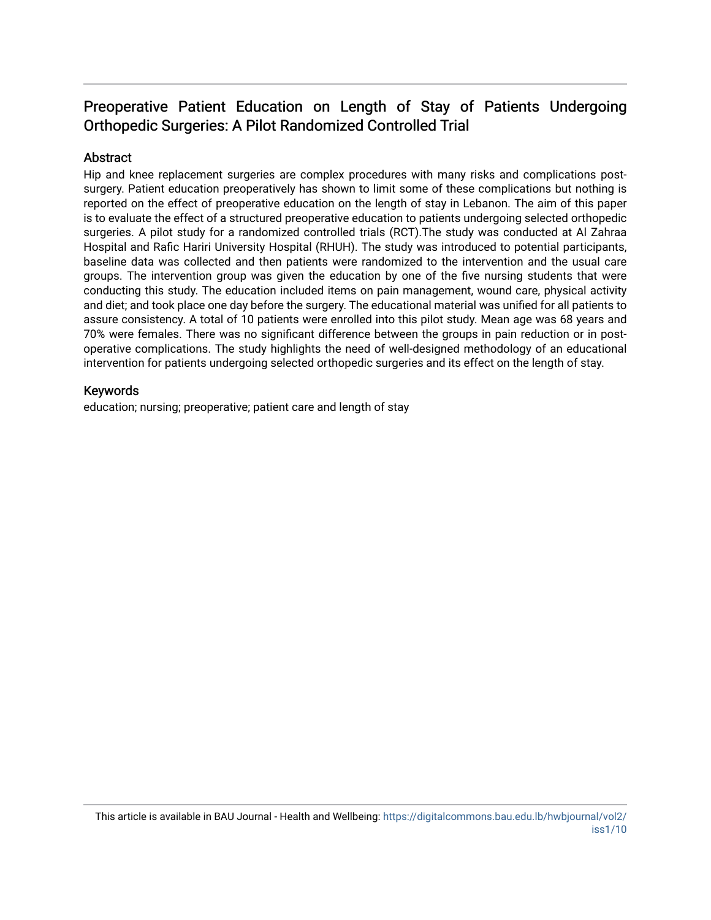# Preoperative Patient Education on Length of Stay of Patients Undergoing Orthopedic Surgeries: A Pilot Randomized Controlled Trial

# **Abstract**

Hip and knee replacement surgeries are complex procedures with many risks and complications postsurgery. Patient education preoperatively has shown to limit some of these complications but nothing is reported on the effect of preoperative education on the length of stay in Lebanon. The aim of this paper is to evaluate the effect of a structured preoperative education to patients undergoing selected orthopedic surgeries. A pilot study for a randomized controlled trials (RCT).The study was conducted at Al Zahraa Hospital and Rafic Hariri University Hospital (RHUH). The study was introduced to potential participants, baseline data was collected and then patients were randomized to the intervention and the usual care groups. The intervention group was given the education by one of the five nursing students that were conducting this study. The education included items on pain management, wound care, physical activity and diet; and took place one day before the surgery. The educational material was unified for all patients to assure consistency. A total of 10 patients were enrolled into this pilot study. Mean age was 68 years and 70% were females. There was no significant difference between the groups in pain reduction or in postoperative complications. The study highlights the need of well-designed methodology of an educational intervention for patients undergoing selected orthopedic surgeries and its effect on the length of stay.

# Keywords

education; nursing; preoperative; patient care and length of stay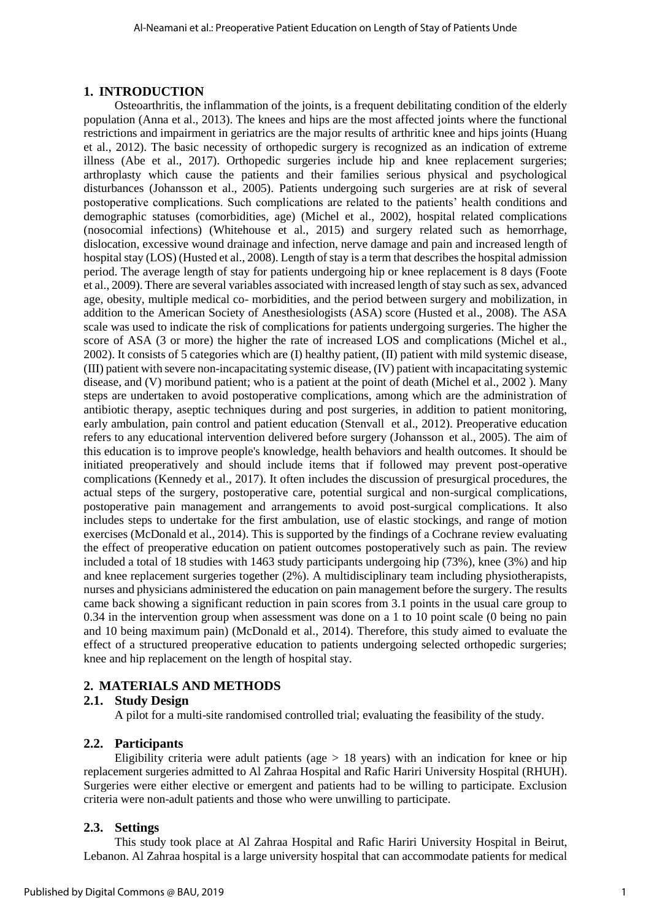#### **1. INTRODUCTION**

Osteoarthritis, the inflammation of the joints, is a frequent debilitating condition of the elderly population (Anna et al., 2013). The knees and hips are the most affected joints where the functional restrictions and impairment in geriatrics are the major results of arthritic knee and hips joints (Huang et al., 2012). The basic necessity of orthopedic surgery is recognized as an indication of extreme illness (Abe et al., 2017). Orthopedic surgeries include hip and knee replacement surgeries; arthroplasty which cause the patients and their families serious physical and psychological disturbances (Johansson et al., 2005). Patients undergoing such surgeries are at risk of several postoperative complications. Such complications are related to the patients' health conditions and demographic statuses (comorbidities, age) (Michel et al., 2002), hospital related complications (nosocomial infections) (Whitehouse et al., 2015) and surgery related such as hemorrhage, dislocation, excessive wound drainage and infection, nerve damage and pain and increased length of hospital stay (LOS) (Husted et al., 2008). Length of stay is a term that describes the hospital admission period. The average length of stay for patients undergoing hip or knee replacement is 8 days (Foote et al., 2009). There are several variables associated with increased length of stay such as sex, advanced age, obesity, multiple medical co- morbidities, and the period between surgery and mobilization, in addition to the American Society of Anesthesiologists (ASA) score (Husted et al., 2008). The ASA scale was used to indicate the risk of complications for patients undergoing surgeries. The higher the score of ASA (3 or more) the higher the rate of increased LOS and complications (Michel et al., 2002). It consists of 5 categories which are (I) healthy patient, (II) patient with mild systemic disease, (III) patient with severe non-incapacitating systemic disease, (IV) patient with incapacitating systemic disease, and (V) moribund patient; who is a patient at the point of death (Michel et al., 2002 ). Many steps are undertaken to avoid postoperative complications, among which are the administration of antibiotic therapy, aseptic techniques during and post surgeries, in addition to patient monitoring, early ambulation, pain control and patient education [\(Stenvall](https://www.sciencedirect.com/science/article/pii/S0167494311002597#!) et al., 2012). Preoperative education refers to any educational intervention delivered before surgery [\(Johansson e](https://www.ncbi.nlm.nih.gov/pubmed/?term=Johansson%20K%5BAuthor%5D&cauthor=true&cauthor_uid=15788086)t al., 2005). The aim of this education is to improve people's knowledge, health behaviors and health outcomes. It should be initiated preoperatively and should include items that if followed may prevent post-operative complications (Kennedy et al., 2017). It often includes the discussion of presurgical procedures, the actual steps of the surgery, postoperative care, potential surgical and non-surgical complications, postoperative pain management and arrangements to avoid post-surgical complications. It also includes steps to undertake for the first ambulation, use of elastic stockings, and range of motion exercises (McDonald et al., 2014). This is supported by the findings of a Cochrane review evaluating the effect of preoperative education on patient outcomes postoperatively such as pain. The review included a total of 18 studies with 1463 study participants undergoing hip (73%), knee (3%) and hip and knee replacement surgeries together (2%). A multidisciplinary team including physiotherapists, nurses and physicians administered the education on pain management before the surgery. The results came back showing a significant reduction in pain scores from 3.1 points in the usual care group to 0.34 in the intervention group when assessment was done on a 1 to 10 point scale (0 being no pain and 10 being maximum pain) (McDonald et al., 2014). Therefore, this study aimed to evaluate the effect of a structured preoperative education to patients undergoing selected orthopedic surgeries; knee and hip replacement on the length of hospital stay.

# **2. MATERIALS AND METHODS**

#### **2.1. Study Design**

A pilot for a multi-site randomised controlled trial; evaluating the feasibility of the study.

#### **2.2. Participants**

Eligibility criteria were adult patients (age  $> 18$  years) with an indication for knee or hip replacement surgeries admitted to Al Zahraa Hospital and Rafic Hariri University Hospital (RHUH). Surgeries were either elective or emergent and patients had to be willing to participate. Exclusion criteria were non-adult patients and those who were unwilling to participate.

#### **2.3. Settings**

This study took place at Al Zahraa Hospital and Rafic Hariri University Hospital in Beirut, Lebanon. Al Zahraa hospital is a large university hospital that can accommodate patients for medical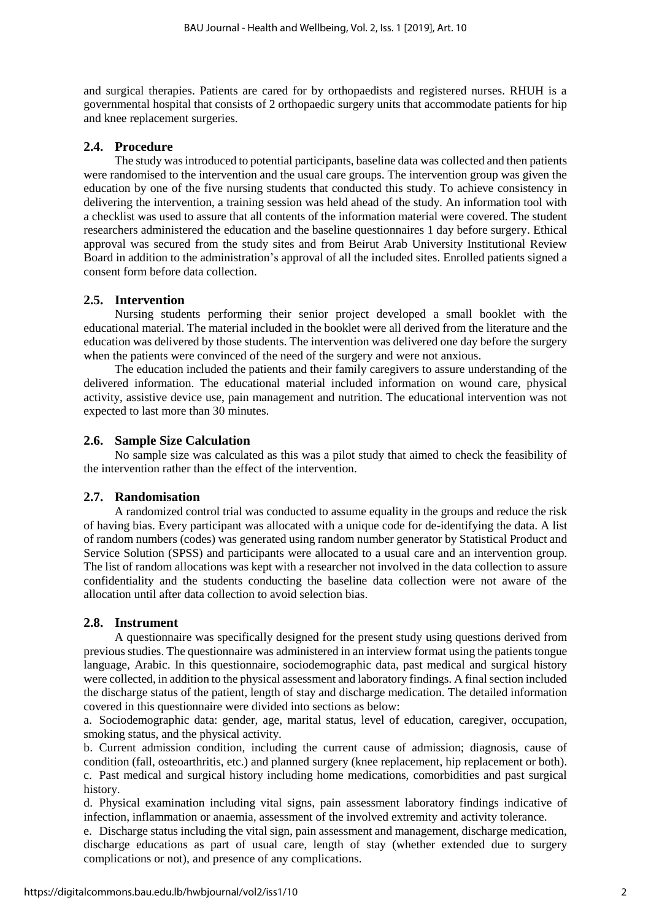and surgical therapies. Patients are cared for by orthopaedists and registered nurses. RHUH is a governmental hospital that consists of 2 orthopaedic surgery units that accommodate patients for hip and knee replacement surgeries.

# **2.4. Procedure**

The study was introduced to potential participants, baseline data was collected and then patients were randomised to the intervention and the usual care groups. The intervention group was given the education by one of the five nursing students that conducted this study. To achieve consistency in delivering the intervention, a training session was held ahead of the study. An information tool with a checklist was used to assure that all contents of the information material were covered. The student researchers administered the education and the baseline questionnaires 1 day before surgery. Ethical approval was secured from the study sites and from Beirut Arab University Institutional Review Board in addition to the administration's approval of all the included sites. Enrolled patients signed a consent form before data collection.

# **2.5. Intervention**

Nursing students performing their senior project developed a small booklet with the educational material. The material included in the booklet were all derived from the literature and the education was delivered by those students. The intervention was delivered one day before the surgery when the patients were convinced of the need of the surgery and were not anxious.

The education included the patients and their family caregivers to assure understanding of the delivered information. The educational material included information on wound care, physical activity, assistive device use, pain management and nutrition. The educational intervention was not expected to last more than 30 minutes.

# **2.6. Sample Size Calculation**

No sample size was calculated as this was a pilot study that aimed to check the feasibility of the intervention rather than the effect of the intervention.

# **2.7. Randomisation**

A randomized control trial was conducted to assume equality in the groups and reduce the risk of having bias. Every participant was allocated with a unique code for de-identifying the data. A list of random numbers (codes) was generated using random number generator by Statistical Product and Service Solution (SPSS) and participants were allocated to a usual care and an intervention group. The list of random allocations was kept with a researcher not involved in the data collection to assure confidentiality and the students conducting the baseline data collection were not aware of the allocation until after data collection to avoid selection bias.

#### **2.8. Instrument**

A questionnaire was specifically designed for the present study using questions derived from previous studies. The questionnaire was administered in an interview format using the patients tongue language, Arabic. In this questionnaire, sociodemographic data, past medical and surgical history were collected, in addition to the physical assessment and laboratory findings. A final section included the discharge status of the patient, length of stay and discharge medication. The detailed information covered in this questionnaire were divided into sections as below:

a. Sociodemographic data: gender, age, marital status, level of education, caregiver, occupation, smoking status, and the physical activity.

b. Current admission condition, including the current cause of admission; diagnosis, cause of condition (fall, osteoarthritis, etc.) and planned surgery (knee replacement, hip replacement or both). c. Past medical and surgical history including home medications, comorbidities and past surgical history.

d. Physical examination including vital signs, pain assessment laboratory findings indicative of infection, inflammation or anaemia, assessment of the involved extremity and activity tolerance.

e. Discharge status including the vital sign, pain assessment and management, discharge medication, discharge educations as part of usual care, length of stay (whether extended due to surgery complications or not), and presence of any complications.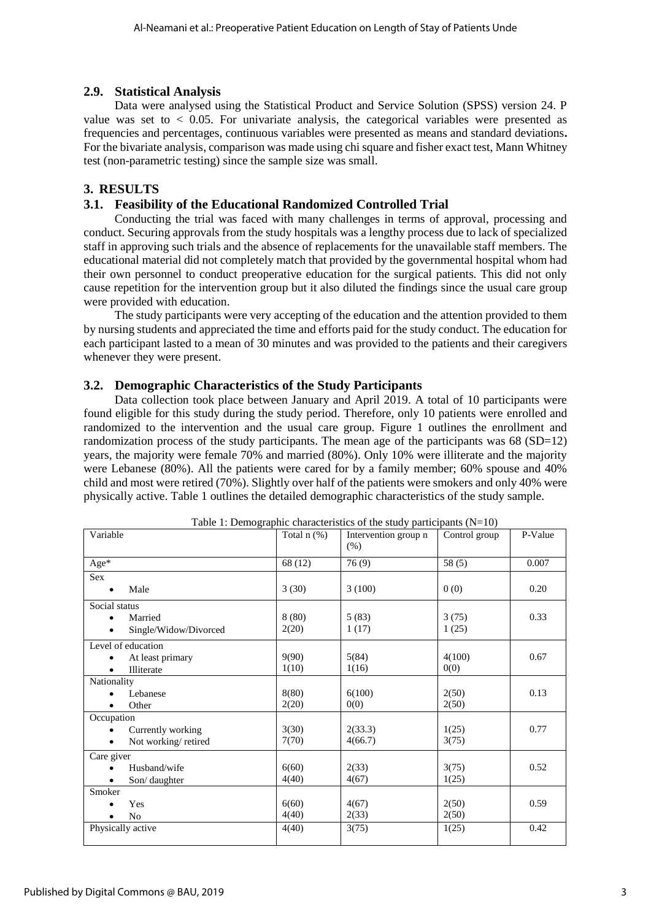# **2.9. Statistical Analysis**

Data were analysed using the Statistical Product and Service Solution (SPSS) version 24. P value was set to  $\lt$  0.05. For univariate analysis, the categorical variables were presented as frequencies and percentages, continuous variables were presented as means and standard deviations**.**  For the bivariate analysis, comparison was made using chi square and fisher exact test, Mann Whitney test (non-parametric testing) since the sample size was small.

# **3. RESULTS**

# **3.1. Feasibility of the Educational Randomized Controlled Trial**

Conducting the trial was faced with many challenges in terms of approval, processing and conduct. Securing approvals from the study hospitals was a lengthy process due to lack of specialized staff in approving such trials and the absence of replacements for the unavailable staff members. The educational material did not completely match that provided by the governmental hospital whom had their own personnel to conduct preoperative education for the surgical patients. This did not only cause repetition for the intervention group but it also diluted the findings since the usual care group were provided with education.

The study participants were very accepting of the education and the attention provided to them by nursing students and appreciated the time and efforts paid for the study conduct. The education for each participant lasted to a mean of 30 minutes and was provided to the patients and their caregivers whenever they were present.

# **3.2. Demographic Characteristics of the Study Participants**

Data collection took place between January and April 2019. A total of 10 participants were found eligible for this study during the study period. Therefore, only 10 patients were enrolled and randomized to the intervention and the usual care group. Figure 1 outlines the enrollment and randomization process of the study participants. The mean age of the participants was  $68 (SD=12)$ years, the majority were female 70% and married (80%). Only 10% were illiterate and the majority were Lebanese (80%). All the patients were cared for by a family member; 60% spouse and 40% child and most were retired (70%). Slightly over half of the patients were smokers and only 40% were physically active. Table 1 outlines the detailed demographic characteristics of the study sample.

|                                  |                  | Table 1: Demographic characteristics of the study participants ( $N=10$ ) |               |         |
|----------------------------------|------------------|---------------------------------------------------------------------------|---------------|---------|
| Variable                         | Total $n$ $(\%)$ | Intervention group n                                                      | Control group | P-Value |
|                                  |                  | (% )                                                                      |               |         |
| Age*                             | 68 (12)          | 76(9)                                                                     | 58(5)         | 0.007   |
| Sex                              |                  |                                                                           |               |         |
| Male<br>$\bullet$                | 3(30)            | 3(100)                                                                    | 0(0)          | 0.20    |
| Social status                    |                  |                                                                           |               |         |
| Married<br>$\bullet$             | 8(80)            | 5(83)                                                                     | 3(75)         | 0.33    |
| Single/Widow/Divorced            | 2(20)            | 1(17)                                                                     | 1(25)         |         |
| Level of education               |                  |                                                                           |               |         |
| At least primary<br>$\bullet$    | 9(90)            | 5(84)                                                                     | 4(100)        | 0.67    |
| Illiterate<br>$\bullet$          | 1(10)            | 1(16)                                                                     | 0(0)          |         |
| Nationality                      |                  |                                                                           |               |         |
| Lebanese                         | 8(80)            | 6(100)                                                                    | 2(50)         | 0.13    |
| Other                            | 2(20)            | 0(0)                                                                      | 2(50)         |         |
| Occupation                       |                  |                                                                           |               |         |
| Currently working<br>$\bullet$   | 3(30)            | 2(33.3)                                                                   | 1(25)         | 0.77    |
| Not working/retired<br>$\bullet$ | 7(70)            | 4(66.7)                                                                   | 3(75)         |         |
| Care giver                       |                  |                                                                           |               |         |
| Husband/wife<br>$\bullet$        | 6(60)            | 2(33)                                                                     | 3(75)         | 0.52    |
| Son/daughter                     | 4(40)            | 4(67)                                                                     | 1(25)         |         |
| Smoker                           |                  |                                                                           |               |         |
| Yes                              | 6(60)            | 4(67)                                                                     | 2(50)         | 0.59    |
| N <sub>0</sub>                   | 4(40)            | 2(33)                                                                     | 2(50)         |         |
| Physically active                | 4(40)            | 3(75)                                                                     | 1(25)         | 0.42    |
|                                  |                  |                                                                           |               |         |

| Table 1: Demographic characteristics of the study participants $(N=10)$ |  |
|-------------------------------------------------------------------------|--|
|-------------------------------------------------------------------------|--|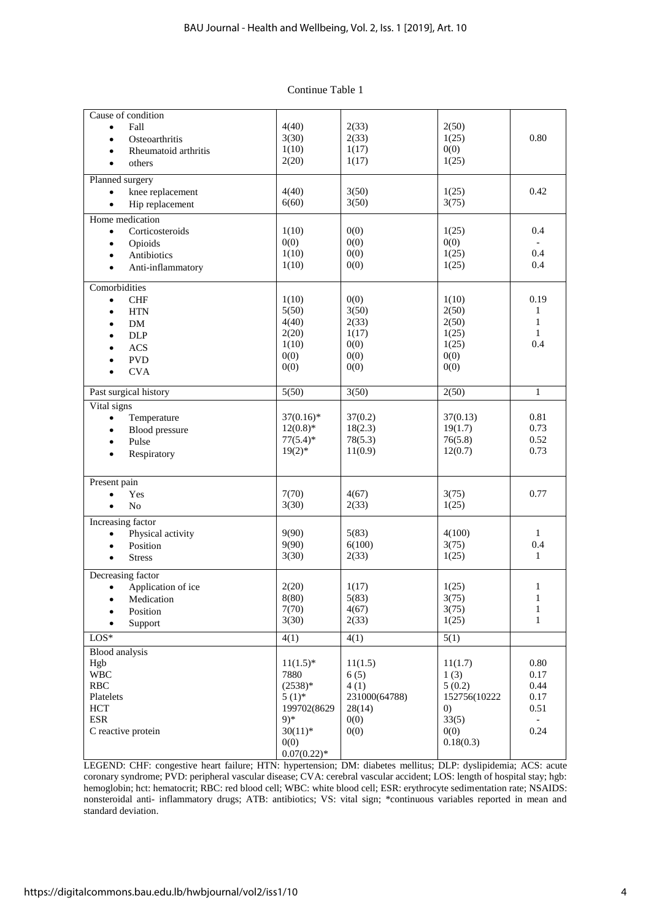| Continue Table 1 |
|------------------|
|------------------|

| Cause of condition              |               |               |                   |               |
|---------------------------------|---------------|---------------|-------------------|---------------|
| Fall                            | 4(40)         | 2(33)         | 2(50)             |               |
| $\bullet$                       |               |               |                   |               |
| Osteoarthritis<br>$\bullet$     | 3(30)         | 2(33)         | 1(25)             | 0.80          |
| Rheumatoid arthritis            | 1(10)         | 1(17)         | 0(0)              |               |
| others<br>$\bullet$             | 2(20)         | 1(17)         | 1(25)             |               |
|                                 |               |               |                   |               |
| Planned surgery                 |               |               |                   |               |
| knee replacement                | 4(40)         | 3(50)         | 1(25)             | 0.42          |
| Hip replacement                 | 6(60)         | 3(50)         | 3(75)             |               |
| Home medication                 |               |               |                   |               |
| Corticosteroids<br>$\bullet$    | 1(10)         | 0(0)          | 1(25)             | 0.4           |
| Opioids                         | 0(0)          | 0(0)          | 0(0)              |               |
|                                 | 1(10)         | 0(0)          | 1(25)             | 0.4           |
| Antibiotics<br>$\bullet$        |               |               | 1(25)             | 0.4           |
| Anti-inflammatory<br>$\bullet$  | 1(10)         | 0(0)          |                   |               |
| Comorbidities                   |               |               |                   |               |
|                                 | 1(10)         | 0(0)          | 1(10)             | 0.19          |
| <b>CHF</b><br>$\bullet$         |               |               |                   |               |
| <b>HTN</b><br>$\bullet$         | 5(50)         | 3(50)         | 2(50)             | 1             |
| DM                              | 4(40)         | 2(33)         | 2(50)             | 1             |
| <b>DLP</b>                      | 2(20)         | 1(17)         | 1(25)             | $\mathbf{1}$  |
| <b>ACS</b>                      | 1(10)         | 0(0)          | 1(25)             | 0.4           |
| <b>PVD</b>                      | 0(0)          | 0(0)          | 0(0)              |               |
|                                 | 0(0)          | 0(0)          | 0(0)              |               |
| <b>CVA</b>                      |               |               |                   |               |
| Past surgical history           | 5(50)         | 3(50)         | 2(50)             | $\mathbf{1}$  |
| Vital signs                     |               |               |                   |               |
| Temperature<br>$\bullet$        | $37(0.16)^*$  | 37(0.2)       | 37(0.13)          | 0.81          |
| Blood pressure<br>$\bullet$     | $12(0.8)*$    | 18(2.3)       | 19(1.7)           | 0.73          |
|                                 | $77(5.4)$ *   | 78(5.3)       | 76(5.8)           | 0.52          |
| Pulse<br>$\bullet$              |               |               |                   |               |
| Respiratory                     | $19(2)$ *     | 11(0.9)       | 12(0.7)           | 0.73          |
|                                 |               |               |                   |               |
| Present pain                    |               |               |                   |               |
| Yes<br>$\bullet$                | 7(70)         | 4(67)         | 3(75)             | 0.77          |
| No<br>٠                         | 3(30)         | 2(33)         | 1(25)             |               |
| Increasing factor               |               |               |                   |               |
| Physical activity<br>$\bullet$  | 9(90)         | 5(83)         | 4(100)            | 1             |
|                                 | 9(90)         | 6(100)        | 3(75)             | 0.4           |
| Position                        |               |               |                   |               |
| <b>Stress</b>                   | 3(30)         | 2(33)         | 1(25)             | $\mathbf{1}$  |
| Decreasing factor               |               |               |                   |               |
| Application of ice<br>$\bullet$ | 2(20)         | 1(17)         | 1(25)             | $\mathbf{1}$  |
| Medication                      | 8(80)         | 5(83)         | 3(75)             | $\mathbf{1}$  |
| Position                        | 7(70)         | 4(67)         | 3(75)             | $\mathbf{1}$  |
|                                 | 3(30)         | 2(33)         | 1(25)             | $\mathbf{1}$  |
| Support                         |               |               |                   |               |
| $LOS*$                          | 4(1)          | 4(1)          | 5(1)              |               |
| Blood analysis                  |               |               |                   |               |
| Hgb                             | $11(1.5)^*$   | 11(1.5)       | 11(1.7)           | 0.80          |
| <b>WBC</b>                      | 7880          | 6(5)          | 1(3)              | 0.17          |
| <b>RBC</b>                      | $(2538)*$     | 4(1)          | 5(0.2)            | 0.44          |
| Platelets                       | $5(1)$ *      | 231000(64788) | 152756(10222      | 0.17          |
| <b>HCT</b>                      | 199702(8629   | 28(14)        | $\left( 0\right)$ | 0.51          |
| <b>ESR</b>                      | $9)*$         | 0(0)          | 33(5)             | $\frac{1}{2}$ |
| C reactive protein              | $30(11)*$     | 0(0)          | 0(0)              | 0.24          |
|                                 | 0(0)          |               | 0.18(0.3)         |               |
|                                 | $0.07(0.22)*$ |               |                   |               |
|                                 |               |               |                   |               |

LEGEND: CHF: congestive heart failure; HTN: hypertension; DM: diabetes mellitus; DLP: dyslipidemia; ACS: acute coronary syndrome; PVD: peripheral vascular disease; CVA: cerebral vascular accident; LOS: length of hospital stay; hgb: hemoglobin; hct: hematocrit; RBC: red blood cell; WBC: white blood cell; ESR: erythrocyte sedimentation rate; NSAIDS: nonsteroidal anti- inflammatory drugs; ATB: antibiotics; VS: vital sign; \*continuous variables reported in mean and standard deviation.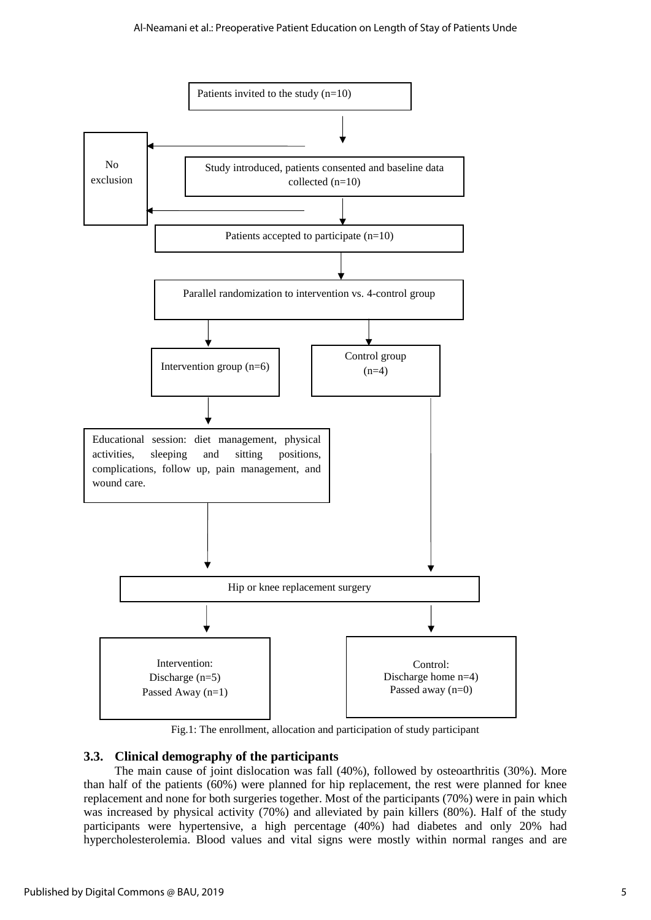

Fig.1: The enrollment, allocation and participation of study participant

# **3.3. Clinical demography of the participants**

The main cause of joint dislocation was fall (40%), followed by osteoarthritis (30%). More than half of the patients (60%) were planned for hip replacement, the rest were planned for knee replacement and none for both surgeries together. Most of the participants (70%) were in pain which was increased by physical activity (70%) and alleviated by pain killers (80%). Half of the study participants were hypertensive, a high percentage (40%) had diabetes and only 20% had hypercholesterolemia. Blood values and vital signs were mostly within normal ranges and are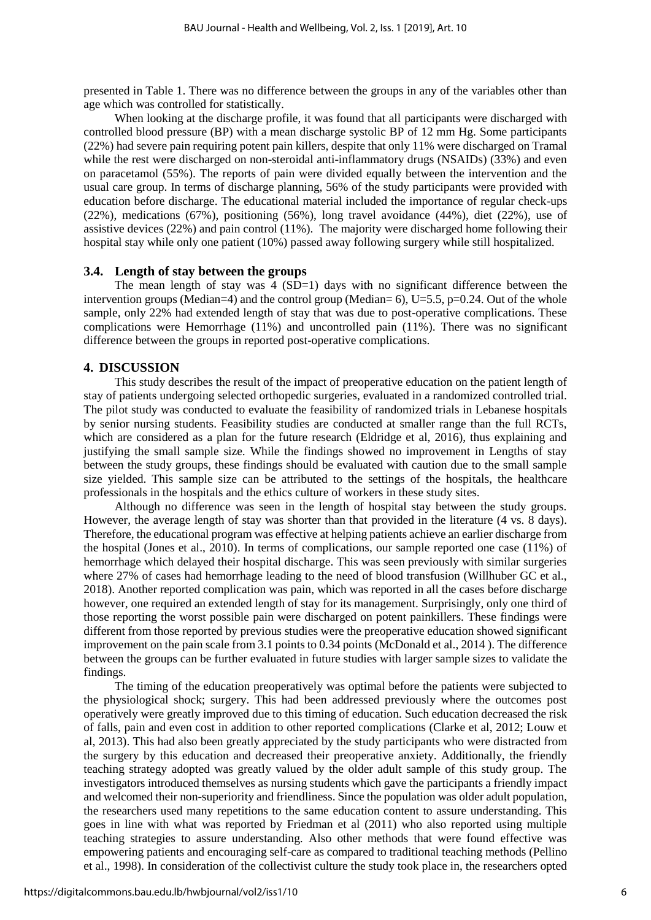presented in Table 1. There was no difference between the groups in any of the variables other than age which was controlled for statistically.

When looking at the discharge profile, it was found that all participants were discharged with controlled blood pressure (BP) with a mean discharge systolic BP of 12 mm Hg. Some participants (22%) had severe pain requiring potent pain killers, despite that only 11% were discharged on Tramal while the rest were discharged on non-steroidal anti-inflammatory drugs (NSAIDs) (33%) and even on paracetamol (55%). The reports of pain were divided equally between the intervention and the usual care group. In terms of discharge planning, 56% of the study participants were provided with education before discharge. The educational material included the importance of regular check-ups (22%), medications (67%), positioning (56%), long travel avoidance (44%), diet (22%), use of assistive devices (22%) and pain control (11%). The majority were discharged home following their hospital stay while only one patient (10%) passed away following surgery while still hospitalized.

#### **3.4. Length of stay between the groups**

The mean length of stay was  $4 \text{ (SD=1)}$  days with no significant difference between the intervention groups (Median=4) and the control group (Median=  $6$ ), U=5.5, p=0.24. Out of the whole sample, only 22% had extended length of stay that was due to post-operative complications. These complications were Hemorrhage (11%) and uncontrolled pain (11%). There was no significant difference between the groups in reported post-operative complications.

#### **4. DISCUSSION**

This study describes the result of the impact of preoperative education on the patient length of stay of patients undergoing selected orthopedic surgeries, evaluated in a randomized controlled trial. The pilot study was conducted to evaluate the feasibility of randomized trials in Lebanese hospitals by senior nursing students. Feasibility studies are conducted at smaller range than the full RCTs, which are considered as a plan for the future research (Eldridge et al, 2016), thus explaining and justifying the small sample size. While the findings showed no improvement in Lengths of stay between the study groups, these findings should be evaluated with caution due to the small sample size yielded. This sample size can be attributed to the settings of the hospitals, the healthcare professionals in the hospitals and the ethics culture of workers in these study sites.

Although no difference was seen in the length of hospital stay between the study groups. However, the average length of stay was shorter than that provided in the literature (4 vs. 8 days). Therefore, the educational program was effective at helping patients achieve an earlier discharge from the hospital (Jones et al., 2010). In terms of complications, our sample reported one case (11%) of hemorrhage which delayed their hospital discharge. This was seen previously with similar surgeries where 27% of cases had hemorrhage leading to the need of blood transfusion (Willhuber GC et al., 2018). Another reported complication was pain, which was reported in all the cases before discharge however, one required an extended length of stay for its management. Surprisingly, only one third of those reporting the worst possible pain were discharged on potent painkillers. These findings were different from those reported by previous studies were the preoperative education showed significant improvement on the pain scale from 3.1 points to 0.34 points (McDonald et al., 2014 ). The difference between the groups can be further evaluated in future studies with larger sample sizes to validate the findings.

The timing of the education preoperatively was optimal before the patients were subjected to the physiological shock; surgery. This had been addressed previously where the outcomes post operatively were greatly improved due to this timing of education. Such education decreased the risk of falls, pain and even cost in addition to other reported complications (Clarke et al, 2012; Louw et al, 2013). This had also been greatly appreciated by the study participants who were distracted from the surgery by this education and decreased their preoperative anxiety. Additionally, the friendly teaching strategy adopted was greatly valued by the older adult sample of this study group. The investigators introduced themselves as nursing students which gave the participants a friendly impact and welcomed their non-superiority and friendliness. Since the population was older adult population, the researchers used many repetitions to the same education content to assure understanding. This goes in line with what was reported by Friedman et al (2011) who also reported using multiple teaching strategies to assure understanding. Also other methods that were found effective was empowering patients and encouraging self-care as compared to traditional teaching methods (Pellino et al., 1998). In consideration of the collectivist culture the study took place in, the researchers opted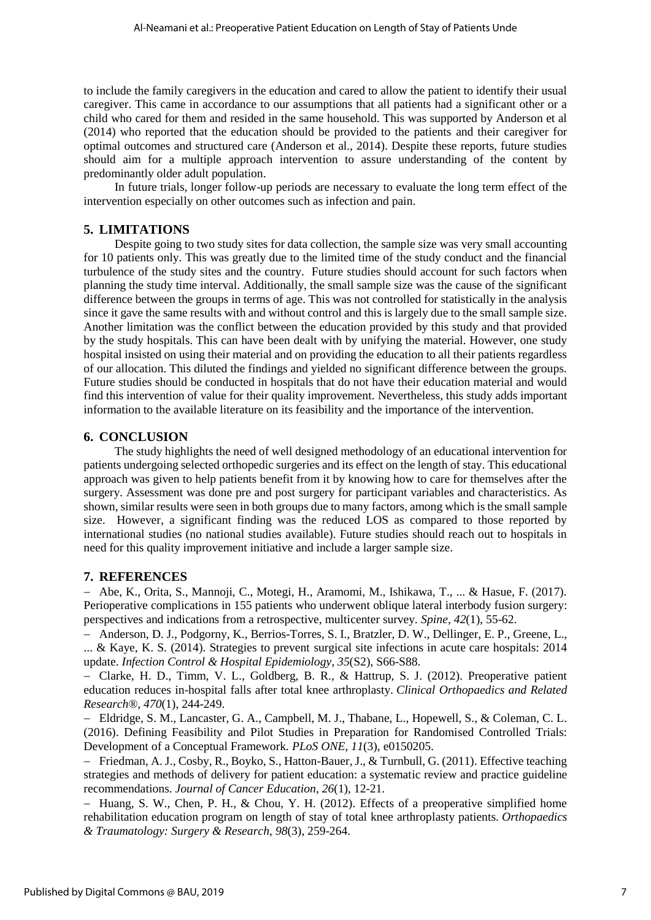to include the family caregivers in the education and cared to allow the patient to identify their usual caregiver. This came in accordance to our assumptions that all patients had a significant other or a child who cared for them and resided in the same household. This was supported by Anderson et al (2014) who reported that the education should be provided to the patients and their caregiver for optimal outcomes and structured care (Anderson et al., 2014). Despite these reports, future studies should aim for a multiple approach intervention to assure understanding of the content by predominantly older adult population.

In future trials, longer follow-up periods are necessary to evaluate the long term effect of the intervention especially on other outcomes such as infection and pain.

#### **5. LIMITATIONS**

Despite going to two study sites for data collection, the sample size was very small accounting for 10 patients only. This was greatly due to the limited time of the study conduct and the financial turbulence of the study sites and the country. Future studies should account for such factors when planning the study time interval. Additionally, the small sample size was the cause of the significant difference between the groups in terms of age. This was not controlled for statistically in the analysis since it gave the same results with and without control and this is largely due to the small sample size. Another limitation was the conflict between the education provided by this study and that provided by the study hospitals. This can have been dealt with by unifying the material. However, one study hospital insisted on using their material and on providing the education to all their patients regardless of our allocation. This diluted the findings and yielded no significant difference between the groups. Future studies should be conducted in hospitals that do not have their education material and would find this intervention of value for their quality improvement. Nevertheless, this study adds important information to the available literature on its feasibility and the importance of the intervention.

#### **6. CONCLUSION**

The study highlights the need of well designed methodology of an educational intervention for patients undergoing selected orthopedic surgeries and its effect on the length of stay. This educational approach was given to help patients benefit from it by knowing how to care for themselves after the surgery. Assessment was done pre and post surgery for participant variables and characteristics. As shown, similar results were seen in both groups due to many factors, among which is the small sample size. However, a significant finding was the reduced LOS as compared to those reported by international studies (no national studies available). Future studies should reach out to hospitals in need for this quality improvement initiative and include a larger sample size.

#### **7. REFERENCES**

 Abe, K., Orita, S., Mannoji, C., Motegi, H., Aramomi, M., Ishikawa, T., ... & Hasue, F. (2017). Perioperative complications in 155 patients who underwent oblique lateral interbody fusion surgery: perspectives and indications from a retrospective, multicenter survey. *Spine*, *42*(1), 55-62.

 Anderson, D. J., Podgorny, K., Berrios-Torres, S. I., Bratzler, D. W., Dellinger, E. P., Greene, L., ... & Kaye, K. S. (2014). Strategies to prevent surgical site infections in acute care hospitals: 2014 update. *Infection Control & Hospital Epidemiology*, *35*(S2), S66-S88.

 Clarke, H. D., Timm, V. L., Goldberg, B. R., & Hattrup, S. J. (2012). Preoperative patient education reduces in-hospital falls after total knee arthroplasty. *Clinical Orthopaedics and Related Research®*, *470*(1), 244-249.

 Eldridge, S. M., Lancaster, G. A., Campbell, M. J., Thabane, L., Hopewell, S., & Coleman, C. L. (2016). Defining Feasibility and Pilot Studies in Preparation for Randomised Controlled Trials: Development of a Conceptual Framework. *PLoS ONE*, *11*(3), e0150205.

 Friedman, A. J., Cosby, R., Boyko, S., Hatton-Bauer, J., & Turnbull, G. (2011). Effective teaching strategies and methods of delivery for patient education: a systematic review and practice guideline recommendations. *Journal of Cancer Education*, *26*(1), 12-21.

 $-$  Huang, S. W., Chen, P. H., & Chou, Y. H. (2012). Effects of a preoperative simplified home rehabilitation education program on length of stay of total knee arthroplasty patients. *Orthopaedics & Traumatology: Surgery & Research*, *98*(3), 259-264.